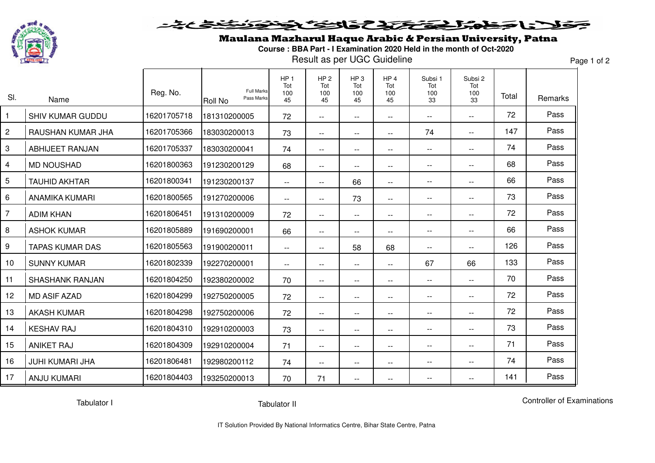

## そくちら مولا احطما المتحدد التكافي 556

## Maulana Mazharul Haque Arabic & Persian University, Patna

**Course : BBA Part - I Examination 2020 Held in the month of Oct-2020**

Result as per UGC Guideline

Page 1 of 2

| SI.            | Name                    | Reg. No.    | <b>Full Marks</b><br>Pass Marks<br><b>Roll No</b> | HP <sub>1</sub><br>Tot<br>100<br>45 | HP <sub>2</sub><br>Tot<br>100<br>45 | HP <sub>3</sub><br>Tot<br>100<br>45 | HP <sub>4</sub><br>Tot<br>100<br>45           | Subsi 1<br>Tot<br>100<br>33 | Subsi 2<br>Tot<br>100<br>33 | Total | Remarks |
|----------------|-------------------------|-------------|---------------------------------------------------|-------------------------------------|-------------------------------------|-------------------------------------|-----------------------------------------------|-----------------------------|-----------------------------|-------|---------|
| $\overline{1}$ | <b>SHIV KUMAR GUDDU</b> | 16201705718 | 181310200005                                      | 72                                  | $- -$                               | $\qquad \qquad -$                   | $\overline{\phantom{m}}$                      | $\overline{\phantom{m}}$    | $- -$                       | 72    | Pass    |
| $\overline{c}$ | RAUSHAN KUMAR JHA       | 16201705366 | 183030200013                                      | 73                                  | $- -$                               | $- -$                               | $\overline{\phantom{a}}$                      | 74                          | $\mathbf{u}$                | 147   | Pass    |
| $\mathbf{3}$   | <b>ABHIJEET RANJAN</b>  | 16201705337 | 183030200041                                      | 74                                  | $- -$                               | $- -$                               | $-$                                           | $\overline{\phantom{m}}$    | $\mathbf{u}$                | 74    | Pass    |
| 4              | <b>MD NOUSHAD</b>       | 16201800363 | 191230200129                                      | 68                                  | $- -$                               | $- -$                               | $\mathbf{u}$                                  | $\overline{\phantom{m}}$    | $\overline{\phantom{a}}$    | 68    | Pass    |
| $\overline{5}$ | <b>TAUHID AKHTAR</b>    | 16201800341 | 191230200137                                      | $- -$                               | $-$                                 | 66                                  | $\overline{\phantom{a}}$                      | $\overline{\phantom{m}}$    | $\overline{\phantom{a}}$    | 66    | Pass    |
| 6              | <b>ANAMIKA KUMARI</b>   | 16201800565 | 191270200006                                      | $- -$                               | $- -$                               | 73                                  | $\mathord{\hspace{1pt}\text{--}\hspace{1pt}}$ | $\overline{\phantom{m}}$    | $\overline{\phantom{m}}$    | 73    | Pass    |
| $\overline{7}$ | <b>ADIM KHAN</b>        | 16201806451 | 191310200009                                      | 72                                  | $- -$                               | $\qquad \qquad -$                   | $\overline{\phantom{m}}$                      | $\overline{\phantom{a}}$    | $\overline{\phantom{a}}$    | 72    | Pass    |
| 8              | <b>ASHOK KUMAR</b>      | 16201805889 | 191690200001                                      | 66                                  | $- -$                               | $- -$                               | $\overline{\phantom{a}}$                      | $\overline{\phantom{m}}$    | --                          | 66    | Pass    |
| 9              | <b>TAPAS KUMAR DAS</b>  | 16201805563 | 191900200011                                      | $- -$                               | $- -$                               | 58                                  | 68                                            | $\overline{a}$              | --                          | 126   | Pass    |
| 10             | <b>SUNNY KUMAR</b>      | 16201802339 | 192270200001                                      | $\overline{\phantom{m}}$            | $- -$                               | $- -$                               | --                                            | 67                          | 66                          | 133   | Pass    |
| 11             | <b>SHASHANK RANJAN</b>  | 16201804250 | 192380200002                                      | 70                                  | $-$                                 | $- -$                               | $-$                                           | $\overline{\phantom{a}}$    | $\overline{\phantom{a}}$    | 70    | Pass    |
| 12             | <b>MD ASIF AZAD</b>     | 16201804299 | 192750200005                                      | 72                                  | $- -$                               | $- -$                               | $\mathbf{u}$                                  | $\overline{\phantom{a}}$    | $-$                         | 72    | Pass    |
| 13             | <b>AKASH KUMAR</b>      | 16201804298 | 192750200006                                      | 72                                  | $-$                                 | $\qquad \qquad -$                   | $\overline{\phantom{m}}$                      | $\overline{\phantom{a}}$    | $-$                         | 72    | Pass    |
| 14             | <b>KESHAV RAJ</b>       | 16201804310 | 192910200003                                      | 73                                  | $- -$                               | $\qquad \qquad -$                   | $\overline{\phantom{m}}$                      | $\overline{\phantom{a}}$    | --                          | 73    | Pass    |
| 15             | <b>ANIKET RAJ</b>       | 16201804309 | 192910200004                                      | 71                                  | $-$                                 | $\qquad \qquad -$                   | $\mathbf{u}$                                  | $\overline{\phantom{a}}$    | $-$                         | 71    | Pass    |
| 16             | <b>JUHI KUMARI JHA</b>  | 16201806481 | 192980200112                                      | 74                                  | $- -$                               | $- -$                               | $\overline{\phantom{a}}$                      | $\overline{\phantom{m}}$    | $-$                         | 74    | Pass    |
| 17             | <b>ANJU KUMARI</b>      | 16201804403 | 193250200013                                      | 70                                  | 71                                  | $- -$                               | $\overline{a}$                                |                             |                             | 141   | Pass    |

Tabulator I

Controller of Examinations